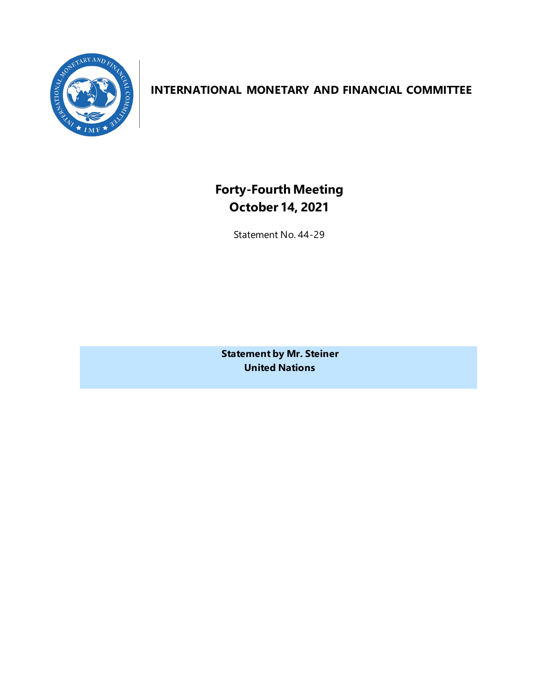

# **INTERNATIONAL MONETARY AND FINANCIAL COMMITTEE**

**Forty-Fourth Meeting October 14, 2021**

Statement No. 44-29

**Statement by Mr. Steiner United Nations**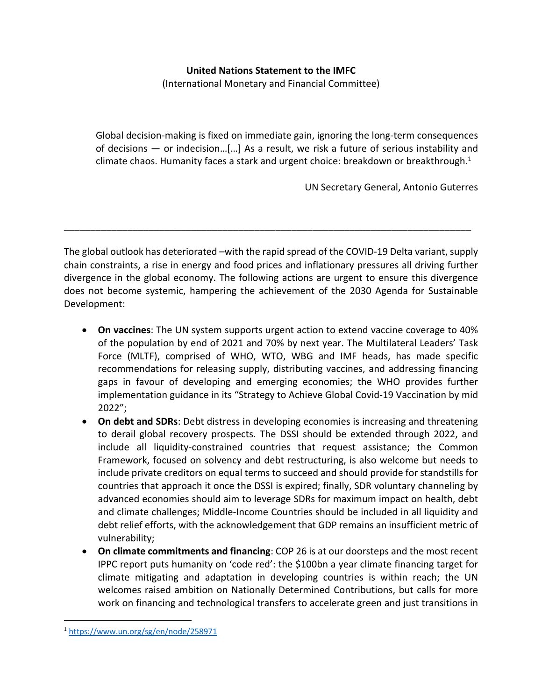#### **United Nations Statement to the IMFC** (International Monetary and Financial Committee)

Global decision-making is fixed on immediate gain, ignoring the long-term consequences of decisions — or indecision…[…] As a result, we risk a future of serious instability and climate chaos. Humanity faces a stark and urgent choice: breakdown or breakthrough.<sup>1</sup>

UN Secretary General, Antonio Guterres

The global outlook has deteriorated –with the rapid spread of the COVID-19 Delta variant, supply chain constraints, a rise in energy and food prices and inflationary pressures all driving further divergence in the global economy. The following actions are urgent to ensure this divergence does not become systemic, hampering the achievement of the 2030 Agenda for Sustainable Development:

\_\_\_\_\_\_\_\_\_\_\_\_\_\_\_\_\_\_\_\_\_\_\_\_\_\_\_\_\_\_\_\_\_\_\_\_\_\_\_\_\_\_\_\_\_\_\_\_\_\_\_\_\_\_\_\_\_\_\_\_\_\_\_\_\_\_\_\_\_\_\_\_\_\_\_\_\_

- **On vaccines**: The UN system supports urgent action to extend vaccine coverage to 40% of the population by end of 2021 and 70% by next year. The Multilateral Leaders' Task Force (MLTF), comprised of WHO, WTO, WBG and IMF heads, has made specific recommendations for releasing supply, distributing vaccines, and addressing financing gaps in favour of developing and emerging economies; the WHO provides further implementation guidance in its "Strategy to Achieve Global Covid-19 Vaccination by mid 2022";
- **On debt and SDRs**: Debt distress in developing economies is increasing and threatening to derail global recovery prospects. The DSSI should be extended through 2022, and include all liquidity-constrained countries that request assistance; the Common Framework, focused on solvency and debt restructuring, is also welcome but needs to include private creditors on equal terms to succeed and should provide for standstills for countries that approach it once the DSSI is expired; finally, SDR voluntary channeling by advanced economies should aim to leverage SDRs for maximum impact on health, debt and climate challenges; Middle-Income Countries should be included in all liquidity and debt relief efforts, with the acknowledgement that GDP remains an insufficient metric of vulnerability;
- **On climate commitments and financing**: COP 26 is at our doorsteps and the most recent IPPC report puts humanity on 'code red': the \$100bn a year climate financing target for climate mitigating and adaptation in developing countries is within reach; the UN welcomes raised ambition on Nationally Determined Contributions, but calls for more work on financing and technological transfers to accelerate green and just transitions in

<sup>1</sup> https://www.un.org/sg/en/node/258971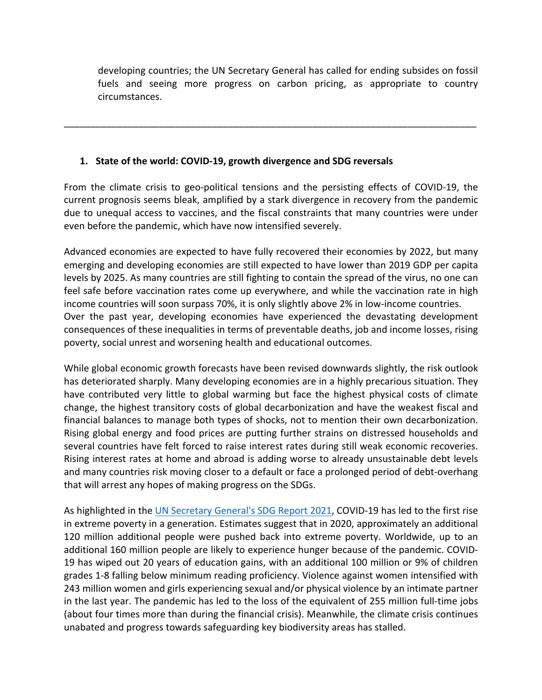developing countries; the UN Secretary General has called for ending subsides on fossil fuels and seeing more progress on carbon pricing, as appropriate to country circumstances.

#### **1. State of the world: COVID-19, growth divergence and SDG reversals**

From the climate crisis to geo-political tensions and the persisting effects of COVID-19, the current prognosis seems bleak, amplified by a stark divergence in recovery from the pandemic due to unequal access to vaccines, and the fiscal constraints that many countries were under even before the pandemic, which have now intensified severely.

\_\_\_\_\_\_\_\_\_\_\_\_\_\_\_\_\_\_\_\_\_\_\_\_\_\_\_\_\_\_\_\_\_\_\_\_\_\_\_\_\_\_\_\_\_\_\_\_\_\_\_\_\_\_\_\_\_\_\_\_\_\_\_\_\_\_\_\_\_\_\_\_\_\_\_\_\_\_

Advanced economies are expected to have fully recovered their economies by 2022, but many emerging and developing economies are still expected to have lower than 2019 GDP per capita levels by 2025. As many countries are still fighting to contain the spread of the virus, no one can feel safe before vaccination rates come up everywhere, and while the vaccination rate in high income countries will soon surpass 70%, it is only slightly above 2% in low-income countries. Over the past year, developing economies have experienced the devastating development consequences of these inequalities in terms of preventable deaths, job and income losses, rising poverty, social unrest and worsening health and educational outcomes.

While global economic growth forecasts have been revised downwards slightly, the risk outlook has deteriorated sharply. Many developing economies are in a highly precarious situation. They have contributed very little to global warming but face the highest physical costs of climate change, the highest transitory costs of global decarbonization and have the weakest fiscal and financial balances to manage both types of shocks, not to mention their own decarbonization. Rising global energy and food prices are putting further strains on distressed households and several countries have felt forced to raise interest rates during still weak economic recoveries. Rising interest rates at home and abroad is adding worse to already unsustainable debt levels and many countries risk moving closer to a default or face a prolonged period of debt-overhang that will arrest any hopes of making progress on the SDGs.

As highlighted in the UN Secretary General's SDG Report 2021, COVID-19 has led to the first rise in extreme poverty in a generation. Estimates suggest that in 2020, approximately an additional 120 million additional people were pushed back into extreme poverty. Worldwide, up to an additional 160 million people are likely to experience hunger because of the pandemic. COVID-19 has wiped out 20 years of education gains, with an additional 100 million or 9% of children grades 1-8 falling below minimum reading proficiency. Violence against women intensified with 243 million women and girls experiencing sexual and/or physical violence by an intimate partner in the last year. The pandemic has led to the loss of the equivalent of 255 million full-time jobs (about four times more than during the financial crisis). Meanwhile, the climate crisis continues unabated and progress towards safeguarding key biodiversity areas has stalled.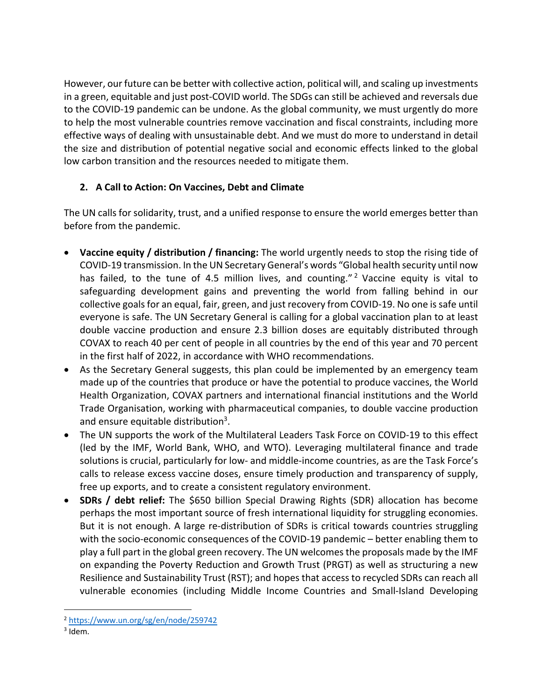However, our future can be better with collective action, political will, and scaling up investments in a green, equitable and just post-COVID world. The SDGs can still be achieved and reversals due to the COVID-19 pandemic can be undone. As the global community, we must urgently do more to help the most vulnerable countries remove vaccination and fiscal constraints, including more effective ways of dealing with unsustainable debt. And we must do more to understand in detail the size and distribution of potential negative social and economic effects linked to the global low carbon transition and the resources needed to mitigate them.

## **2. A Call to Action: On Vaccines, Debt and Climate**

The UN calls for solidarity, trust, and a unified response to ensure the world emerges better than before from the pandemic.

- **Vaccine equity / distribution / financing:** The world urgently needs to stop the rising tide of COVID-19 transmission. In the UN Secretary General's words "Global health security until now has failed, to the tune of 4.5 million lives, and counting."  $2$  Vaccine equity is vital to safeguarding development gains and preventing the world from falling behind in our collective goals for an equal, fair, green, and just recovery from COVID-19. No one is safe until everyone is safe. The UN Secretary General is calling for a global vaccination plan to at least double vaccine production and ensure 2.3 billion doses are equitably distributed through COVAX to reach 40 per cent of people in all countries by the end of this year and 70 percent in the first half of 2022, in accordance with WHO recommendations.
- As the Secretary General suggests, this plan could be implemented by an emergency team made up of the countries that produce or have the potential to produce vaccines, the World Health Organization, COVAX partners and international financial institutions and the World Trade Organisation, working with pharmaceutical companies, to double vaccine production and ensure equitable distribution<sup>3</sup>.
- The UN supports the work of the Multilateral Leaders Task Force on COVID-19 to this effect (led by the IMF, World Bank, WHO, and WTO). Leveraging multilateral finance and trade solutions is crucial, particularly for low- and middle-income countries, as are the Task Force's calls to release excess vaccine doses, ensure timely production and transparency of supply, free up exports, and to create a consistent regulatory environment.
- **SDRs / debt relief:** The \$650 billion Special Drawing Rights (SDR) allocation has become perhaps the most important source of fresh international liquidity for struggling economies. But it is not enough. A large re-distribution of SDRs is critical towards countries struggling with the socio-economic consequences of the COVID-19 pandemic – better enabling them to play a full part in the global green recovery. The UN welcomesthe proposals made by the IMF on expanding the Poverty Reduction and Growth Trust (PRGT) as well as structuring a new Resilience and Sustainability Trust (RST); and hopes that access to recycled SDRs can reach all vulnerable economies (including Middle Income Countries and Small-Island Developing

<sup>2</sup> https://www.un.org/sg/en/node/259742

 $3$  Idem.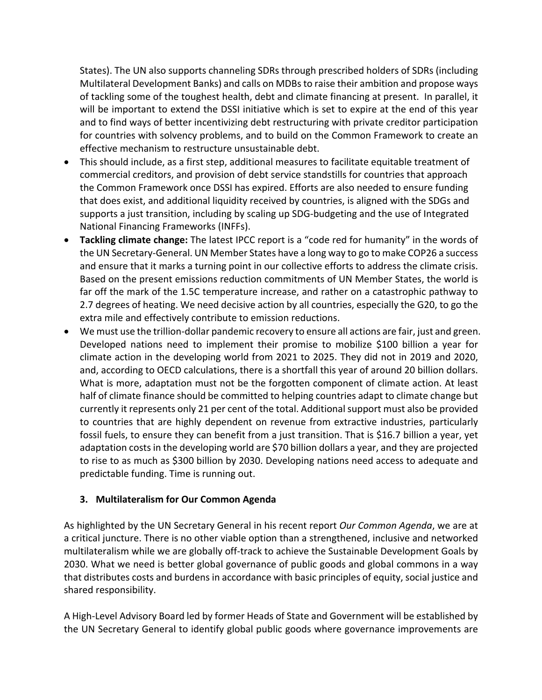States). The UN also supports channeling SDRs through prescribed holders of SDRs (including Multilateral Development Banks) and calls on MDBs to raise their ambition and propose ways of tackling some of the toughest health, debt and climate financing at present. In parallel, it will be important to extend the DSSI initiative which is set to expire at the end of this year and to find ways of better incentivizing debt restructuring with private creditor participation for countries with solvency problems, and to build on the Common Framework to create an effective mechanism to restructure unsustainable debt.

- This should include, as a first step, additional measures to facilitate equitable treatment of commercial creditors, and provision of debt service standstills for countries that approach the Common Framework once DSSI has expired. Efforts are also needed to ensure funding that does exist, and additional liquidity received by countries, is aligned with the SDGs and supports a just transition, including by scaling up SDG-budgeting and the use of Integrated National Financing Frameworks (INFFs).
- **Tackling climate change:** The latest IPCC report is a "code red for humanity" in the words of the UN Secretary-General. UN Member States have a long way to go to make COP26 a success and ensure that it marks a turning point in our collective efforts to address the climate crisis. Based on the present emissions reduction commitments of UN Member States, the world is far off the mark of the 1.5C temperature increase, and rather on a catastrophic pathway to 2.7 degrees of heating. We need decisive action by all countries, especially the G20, to go the extra mile and effectively contribute to emission reductions.
- We must use the trillion-dollar pandemic recovery to ensure all actions are fair, just and green. Developed nations need to implement their promise to mobilize \$100 billion a year for climate action in the developing world from 2021 to 2025. They did not in 2019 and 2020, and, according to OECD calculations, there is a shortfall this year of around 20 billion dollars. What is more, adaptation must not be the forgotten component of climate action. At least half of climate finance should be committed to helping countries adapt to climate change but currently it represents only 21 per cent of the total. Additional support must also be provided to countries that are highly dependent on revenue from extractive industries, particularly fossil fuels, to ensure they can benefit from a just transition. That is \$16.7 billion a year, yet adaptation costs in the developing world are \$70 billion dollars a year, and they are projected to rise to as much as \$300 billion by 2030. Developing nations need access to adequate and predictable funding. Time is running out.

### **3. Multilateralism for Our Common Agenda**

As highlighted by the UN Secretary General in his recent report *Our Common Agenda*, we are at a critical juncture. There is no other viable option than a strengthened, inclusive and networked multilateralism while we are globally off-track to achieve the Sustainable Development Goals by 2030. What we need is better global governance of public goods and global commons in a way that distributes costs and burdens in accordance with basic principles of equity, social justice and shared responsibility.

A High-Level Advisory Board led by former Heads of State and Government will be established by the UN Secretary General to identify global public goods where governance improvements are